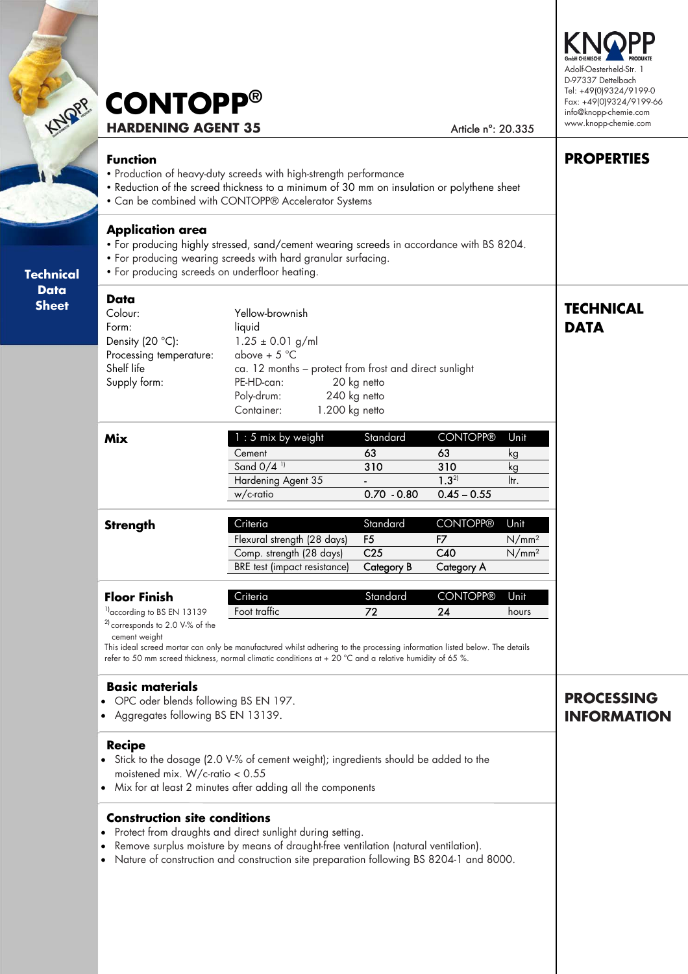| KNOPP                                           | <b>CONTOPP®</b><br><b>HARDENING AGENT 35</b>                                                                                                                                                                                                                                           | Adolf-Oesterheld-Str. 1<br>D-97337 Dettelbach<br>Tel: +49(0)9324/9199-0<br>Fax: +49(0)9324/9199-66<br>info@knopp-chemie.com<br>www.knopp-chemie.com                                                                                                              |                                                                    |                                                             |                                                |                   |
|-------------------------------------------------|----------------------------------------------------------------------------------------------------------------------------------------------------------------------------------------------------------------------------------------------------------------------------------------|------------------------------------------------------------------------------------------------------------------------------------------------------------------------------------------------------------------------------------------------------------------|--------------------------------------------------------------------|-------------------------------------------------------------|------------------------------------------------|-------------------|
|                                                 | <b>Function</b>                                                                                                                                                                                                                                                                        | • Production of heavy-duty screeds with high-strength performance<br>. Reduction of the screed thickness to a minimum of 30 mm on insulation or polythene sheet<br>• Can be combined with CONTOPP® Accelerator Systems                                           |                                                                    |                                                             |                                                | <b>PROPERTIES</b> |
| <b>Technical</b><br><b>Data</b><br><b>Sheet</b> | <b>Application area</b><br>• For producing highly stressed, sand/cement wearing screeds in accordance with BS 8204.<br>• For producing wearing screeds with hard granular surfacing.<br>• For producing screeds on underfloor heating.                                                 |                                                                                                                                                                                                                                                                  |                                                                    |                                                             |                                                |                   |
|                                                 | <b>Data</b><br>Colour:<br>Form:<br>Density (20 °C):<br>Processing temperature:<br>Shelf life<br>Supply form:                                                                                                                                                                           | <b>TECHNICAL</b><br><b>DATA</b>                                                                                                                                                                                                                                  |                                                                    |                                                             |                                                |                   |
|                                                 | <b>Mix</b>                                                                                                                                                                                                                                                                             | 1 : 5 mix by weight<br>Cement<br>Sand 0/4 <sup>11</sup><br>Hardening Agent 35<br>w/c-ratio                                                                                                                                                                       | Standard<br>63<br>310<br>$0.70 - 0.80$                             | <b>CONTOPP®</b><br>63<br>310<br>$1.3^{21}$<br>$0.45 - 0.55$ | Unit<br>kg<br>kg<br>ltr.                       |                   |
|                                                 | <b>Strength</b>                                                                                                                                                                                                                                                                        | Criteria<br>Flexural strength (28 days)<br>Comp. strength (28 days)<br><b>BRE</b> test (impact resistance)                                                                                                                                                       | Standard<br>F <sub>5</sub><br>C <sub>25</sub><br><b>Category B</b> | <b>CONTOPP®</b><br>F7<br>C40<br><b>Category A</b>           | Unit<br>N/mm <sup>2</sup><br>N/mm <sup>2</sup> |                   |
|                                                 | <b>Floor Finish</b><br><sup>1</sup> ] according to BS EN 13139<br><sup>2)</sup> corresponds to 2.0 V-% of the<br>cement weight                                                                                                                                                         | Criteria<br>Foot traffic<br>This ideal screed mortar can only be manufactured whilst adhering to the processing information listed below. The details<br>refer to 50 mm screed thickness, normal climatic conditions at + 20 °C and a relative humidity of 65 %. | Standard<br>72                                                     | <b>CONTOPP®</b><br>24                                       | Unit<br>hours                                  |                   |
|                                                 | <b>Basic materials</b><br>• OPC oder blends following BS EN 197.<br>• Aggregates following BS EN 13139.                                                                                                                                                                                | <b>PROCESSING</b><br><b>INFORMATION</b>                                                                                                                                                                                                                          |                                                                    |                                                             |                                                |                   |
|                                                 | <b>Recipe</b><br>• Stick to the dosage (2.0 V-% of cement weight); ingredients should be added to the<br>moistened mix. W/c-ratio $< 0.55$<br>• Mix for at least 2 minutes after adding all the components                                                                             |                                                                                                                                                                                                                                                                  |                                                                    |                                                             |                                                |                   |
|                                                 | <b>Construction site conditions</b><br>Protect from draughts and direct sunlight during setting.<br>Remove surplus moisture by means of draught-free ventilation (natural ventilation).<br>Nature of construction and construction site preparation following BS 8204-1 and 8000.<br>٠ |                                                                                                                                                                                                                                                                  |                                                                    |                                                             |                                                |                   |